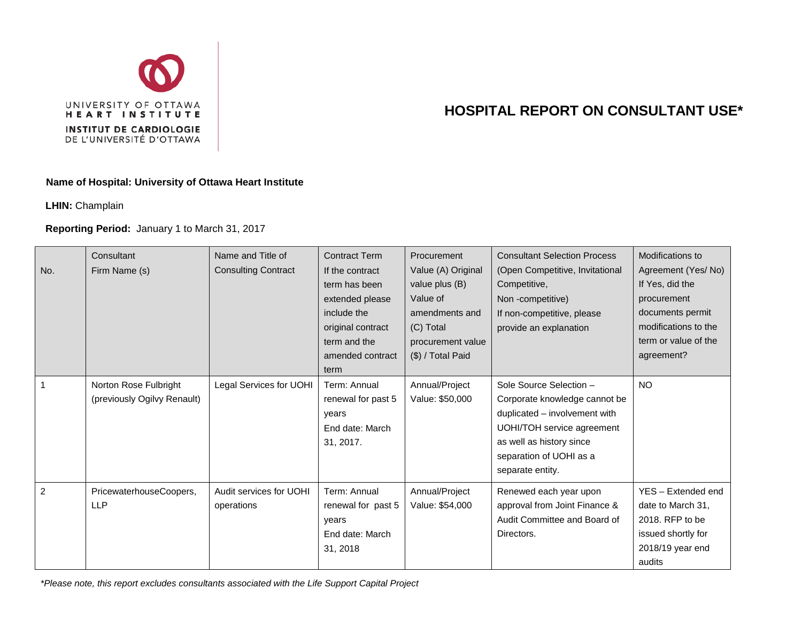

## **HOSPITAL REPORT ON CONSULTANT USE\***

## **Name of Hospital: University of Ottawa Heart Institute**

**LHIN:** Champlain

## **Reporting Period:** January 1 to March 31, 2017

| No.            | Consultant<br>Firm Name (s)                          | Name and Title of<br><b>Consulting Contract</b> | <b>Contract Term</b><br>If the contract<br>term has been<br>extended please<br>include the<br>original contract<br>term and the<br>amended contract<br>term | Procurement<br>Value (A) Original<br>value plus (B)<br>Value of<br>amendments and<br>(C) Total<br>procurement value<br>(\$) / Total Paid | <b>Consultant Selection Process</b><br>(Open Competitive, Invitational<br>Competitive,<br>Non-competitive)<br>If non-competitive, please<br>provide an explanation                                 | Modifications to<br>Agreement (Yes/No)<br>If Yes, did the<br>procurement<br>documents permit<br>modifications to the<br>term or value of the<br>agreement? |
|----------------|------------------------------------------------------|-------------------------------------------------|-------------------------------------------------------------------------------------------------------------------------------------------------------------|------------------------------------------------------------------------------------------------------------------------------------------|----------------------------------------------------------------------------------------------------------------------------------------------------------------------------------------------------|------------------------------------------------------------------------------------------------------------------------------------------------------------|
|                | Norton Rose Fulbright<br>(previously Ogilvy Renault) | Legal Services for UOHI                         | Term: Annual<br>renewal for past 5<br>years<br>End date: March<br>31, 2017.                                                                                 | Annual/Project<br>Value: \$50,000                                                                                                        | Sole Source Selection -<br>Corporate knowledge cannot be<br>duplicated - involvement with<br>UOHI/TOH service agreement<br>as well as history since<br>separation of UOHI as a<br>separate entity. | <b>NO</b>                                                                                                                                                  |
| $\overline{2}$ | PricewaterhouseCoopers,<br><b>LLP</b>                | Audit services for UOHI<br>operations           | Term: Annual<br>renewal for past 5<br>years<br>End date: March<br>31, 2018                                                                                  | Annual/Project<br>Value: \$54,000                                                                                                        | Renewed each year upon<br>approval from Joint Finance &<br>Audit Committee and Board of<br>Directors.                                                                                              | YES - Extended end<br>date to March 31,<br>2018. RFP to be<br>issued shortly for<br>2018/19 year end<br>audits                                             |

*\*Please note, this report excludes consultants associated with the Life Support Capital Project*